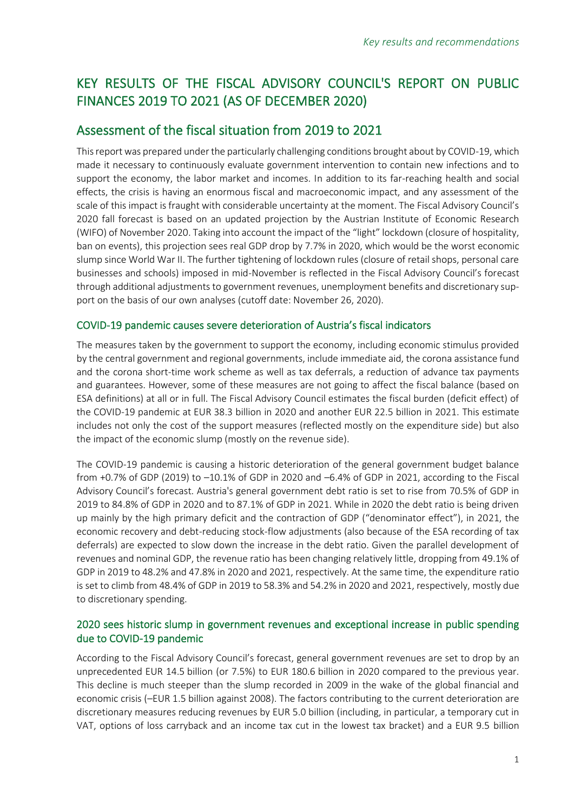# KEY RESULTS OF THE FISCAL ADVISORY COUNCIL'S REPORT ON PUBLIC FINANCES 2019 TO 2021 (AS OF DECEMBER 2020)

# Assessment of the fiscal situation from 2019 to 2021

This report was prepared under the particularly challenging conditions brought about by COVID-19, which made it necessary to continuously evaluate government intervention to contain new infections and to support the economy, the labor market and incomes. In addition to its far-reaching health and social effects, the crisis is having an enormous fiscal and macroeconomic impact, and any assessment of the scale of this impact is fraught with considerable uncertainty at the moment. The Fiscal Advisory Council's 2020 fall forecast is based on an updated projection by the Austrian Institute of Economic Research (WIFO) of November 2020. Taking into account the impact of the "light" lockdown (closure of hospitality, ban on events), this projection sees real GDP drop by 7.7% in 2020, which would be the worst economic slump since World War II. The further tightening of lockdown rules (closure of retail shops, personal care businesses and schools) imposed in mid-November is reflected in the Fiscal Advisory Council's forecast through additional adjustments to government revenues, unemployment benefits and discretionary support on the basis of our own analyses (cutoff date: November 26, 2020).

### COVID-19 pandemic causes severe deterioration of Austria's fiscal indicators

The measures taken by the government to support the economy, including economic stimulus provided by the central government and regional governments, include immediate aid, the corona assistance fund and the corona short-time work scheme as well as tax deferrals, a reduction of advance tax payments and guarantees. However, some of these measures are not going to affect the fiscal balance (based on ESA definitions) at all or in full. The Fiscal Advisory Council estimates the fiscal burden (deficit effect) of the COVID-19 pandemic at EUR 38.3 billion in 2020 and another EUR 22.5 billion in 2021. This estimate includes not only the cost of the support measures (reflected mostly on the expenditure side) but also the impact of the economic slump (mostly on the revenue side).

The COVID-19 pandemic is causing a historic deterioration of the general government budget balance from +0.7% of GDP (2019) to –10.1% of GDP in 2020 and –6.4% of GDP in 2021, according to the Fiscal Advisory Council's forecast. Austria's general government debt ratio is set to rise from 70.5% of GDP in 2019 to 84.8% of GDP in 2020 and to 87.1% of GDP in 2021. While in 2020 the debt ratio is being driven up mainly by the high primary deficit and the contraction of GDP ("denominator effect"), in 2021, the economic recovery and debt-reducing stock-flow adjustments (also because of the ESA recording of tax deferrals) are expected to slow down the increase in the debt ratio. Given the parallel development of revenues and nominal GDP, the revenue ratio has been changing relatively little, dropping from 49.1% of GDP in 2019 to 48.2% and 47.8% in 2020 and 2021, respectively. At the same time, the expenditure ratio is set to climb from 48.4% of GDP in 2019 to 58.3% and 54.2% in 2020 and 2021, respectively, mostly due to discretionary spending.

# 2020 sees historic slump in government revenues and exceptional increase in public spending due to COVID-19 pandemic

According to the Fiscal Advisory Council's forecast, general government revenues are set to drop by an unprecedented EUR 14.5 billion (or 7.5%) to EUR 180.6 billion in 2020 compared to the previous year. This decline is much steeper than the slump recorded in 2009 in the wake of the global financial and economic crisis (–EUR 1.5 billion against 2008). The factors contributing to the current deterioration are discretionary measures reducing revenues by EUR 5.0 billion (including, in particular, a temporary cut in VAT, options of loss carryback and an income tax cut in the lowest tax bracket) and a EUR 9.5 billion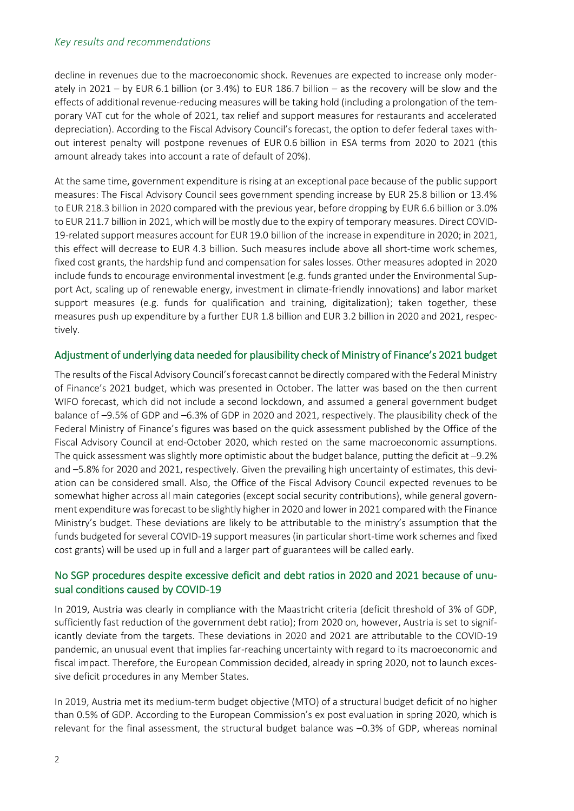#### *Key results and recommendations*

decline in revenues due to the macroeconomic shock. Revenues are expected to increase only moderately in 2021 – by EUR 6.1 billion (or 3.4%) to EUR 186.7 billion – as the recovery will be slow and the effects of additional revenue-reducing measures will be taking hold (including a prolongation of the temporary VAT cut for the whole of 2021, tax relief and support measures for restaurants and accelerated depreciation). According to the Fiscal Advisory Council's forecast, the option to defer federal taxes without interest penalty will postpone revenues of EUR 0.6 billion in ESA terms from 2020 to 2021 (this amount already takes into account a rate of default of 20%).

At the same time, government expenditure is rising at an exceptional pace because of the public support measures: The Fiscal Advisory Council sees government spending increase by EUR 25.8 billion or 13.4% to EUR 218.3 billion in 2020 compared with the previous year, before dropping by EUR 6.6 billion or 3.0% to EUR 211.7 billion in 2021, which will be mostly due to the expiry of temporary measures. Direct COVID-19-related support measures account for EUR 19.0 billion of the increase in expenditure in 2020; in 2021, this effect will decrease to EUR 4.3 billion. Such measures include above all short-time work schemes, fixed cost grants, the hardship fund and compensation for sales losses. Other measures adopted in 2020 include funds to encourage environmental investment (e.g. funds granted under the Environmental Support Act, scaling up of renewable energy, investment in climate-friendly innovations) and labor market support measures (e.g. funds for qualification and training, digitalization); taken together, these measures push up expenditure by a further EUR 1.8 billion and EUR 3.2 billion in 2020 and 2021, respectively.

### Adjustment of underlying data needed for plausibility check of Ministry of Finance's 2021 budget

The results of the Fiscal Advisory Council's forecast cannot be directly compared with the Federal Ministry of Finance's 2021 budget, which was presented in October. The latter was based on the then current WIFO forecast, which did not include a second lockdown, and assumed a general government budget balance of –9.5% of GDP and –6.3% of GDP in 2020 and 2021, respectively. The plausibility check of the Federal Ministry of Finance's figures was based on the quick assessment published by the Office of the Fiscal Advisory Council at end-October 2020, which rested on the same macroeconomic assumptions. The quick assessment was slightly more optimistic about the budget balance, putting the deficit at  $-9.2\%$ and –5.8% for 2020 and 2021, respectively. Given the prevailing high uncertainty of estimates, this deviation can be considered small. Also, the Office of the Fiscal Advisory Council expected revenues to be somewhat higher across all main categories (except social security contributions), while general government expenditure was forecast to be slightly higher in 2020 and lower in 2021 compared with the Finance Ministry's budget. These deviations are likely to be attributable to the ministry's assumption that the funds budgeted for several COVID-19 support measures (in particular short-time work schemes and fixed cost grants) will be used up in full and a larger part of guarantees will be called early.

# No SGP procedures despite excessive deficit and debt ratios in 2020 and 2021 because of unusual conditions caused by COVID-19

In 2019, Austria was clearly in compliance with the Maastricht criteria (deficit threshold of 3% of GDP, sufficiently fast reduction of the government debt ratio); from 2020 on, however, Austria is set to significantly deviate from the targets. These deviations in 2020 and 2021 are attributable to the COVID-19 pandemic, an unusual event that implies far-reaching uncertainty with regard to its macroeconomic and fiscal impact. Therefore, the European Commission decided, already in spring 2020, not to launch excessive deficit procedures in any Member States.

In 2019, Austria met its medium-term budget objective (MTO) of a structural budget deficit of no higher than 0.5% of GDP. According to the European Commission's ex post evaluation in spring 2020, which is relevant for the final assessment, the structural budget balance was –0.3% of GDP, whereas nominal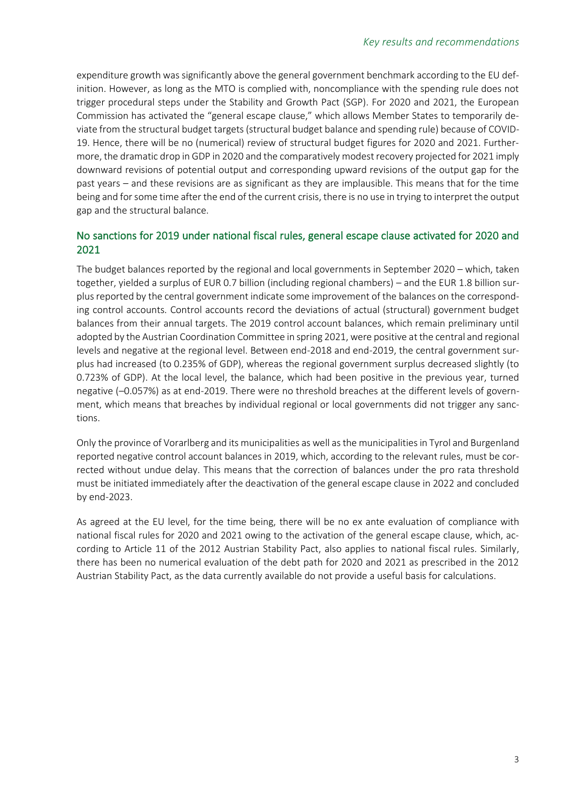expenditure growth was significantly above the general government benchmark according to the EU definition. However, as long as the MTO is complied with, noncompliance with the spending rule does not trigger procedural steps under the Stability and Growth Pact (SGP). For 2020 and 2021, the European Commission has activated the "general escape clause," which allows Member States to temporarily deviate from the structural budget targets (structural budget balance and spending rule) because of COVID-19. Hence, there will be no (numerical) review of structural budget figures for 2020 and 2021. Furthermore, the dramatic drop in GDP in 2020 and the comparatively modest recovery projected for 2021 imply downward revisions of potential output and corresponding upward revisions of the output gap for the past years – and these revisions are as significant as they are implausible. This means that for the time being and for some time after the end of the current crisis, there is no use in trying to interpret the output gap and the structural balance.

## No sanctions for 2019 under national fiscal rules, general escape clause activated for 2020 and 2021

The budget balances reported by the regional and local governments in September 2020 – which, taken together, yielded a surplus of EUR 0.7 billion (including regional chambers) – and the EUR 1.8 billion surplus reported by the central government indicate some improvement of the balances on the corresponding control accounts. Control accounts record the deviations of actual (structural) government budget balances from their annual targets. The 2019 control account balances, which remain preliminary until adopted by the Austrian Coordination Committee in spring 2021, were positive at the central and regional levels and negative at the regional level. Between end-2018 and end-2019, the central government surplus had increased (to 0.235% of GDP), whereas the regional government surplus decreased slightly (to 0.723% of GDP). At the local level, the balance, which had been positive in the previous year, turned negative (–0.057%) as at end-2019. There were no threshold breaches at the different levels of government, which means that breaches by individual regional or local governments did not trigger any sanctions.

Only the province of Vorarlberg and its municipalities as well as the municipalities in Tyrol and Burgenland reported negative control account balances in 2019, which, according to the relevant rules, must be corrected without undue delay. This means that the correction of balances under the pro rata threshold must be initiated immediately after the deactivation of the general escape clause in 2022 and concluded by end-2023.

As agreed at the EU level, for the time being, there will be no ex ante evaluation of compliance with national fiscal rules for 2020 and 2021 owing to the activation of the general escape clause, which, according to Article 11 of the 2012 Austrian Stability Pact, also applies to national fiscal rules. Similarly, there has been no numerical evaluation of the debt path for 2020 and 2021 as prescribed in the 2012 Austrian Stability Pact, as the data currently available do not provide a useful basis for calculations.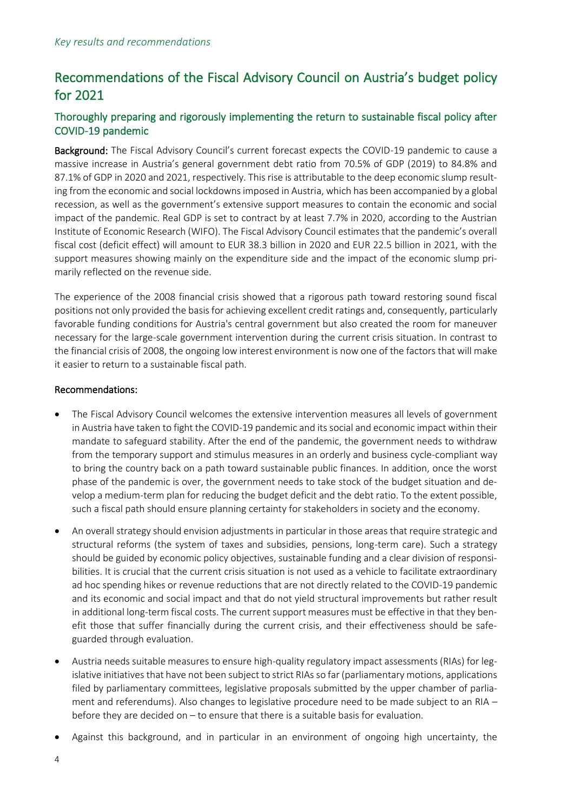# Recommendations of the Fiscal Advisory Council on Austria's budget policy for 2021

# Thoroughly preparing and rigorously implementing the return to sustainable fiscal policy after COVID-19 pandemic

Background: The Fiscal Advisory Council's current forecast expects the COVID-19 pandemic to cause a massive increase in Austria's general government debt ratio from 70.5% of GDP (2019) to 84.8% and 87.1% of GDP in 2020 and 2021, respectively. This rise is attributable to the deep economic slump resulting from the economic and social lockdowns imposed in Austria, which has been accompanied by a global recession, as well as the government's extensive support measures to contain the economic and social impact of the pandemic. Real GDP is set to contract by at least 7.7% in 2020, according to the Austrian Institute of Economic Research (WIFO). The Fiscal Advisory Council estimates that the pandemic's overall fiscal cost (deficit effect) will amount to EUR 38.3 billion in 2020 and EUR 22.5 billion in 2021, with the support measures showing mainly on the expenditure side and the impact of the economic slump primarily reflected on the revenue side.

The experience of the 2008 financial crisis showed that a rigorous path toward restoring sound fiscal positions not only provided the basis for achieving excellent credit ratings and, consequently, particularly favorable funding conditions for Austria's central government but also created the room for maneuver necessary for the large-scale government intervention during the current crisis situation. In contrast to the financial crisis of 2008, the ongoing low interest environment is now one of the factors that will make it easier to return to a sustainable fiscal path.

### Recommendations:

- The Fiscal Advisory Council welcomes the extensive intervention measures all levels of government in Austria have taken to fight the COVID-19 pandemic and its social and economic impact within their mandate to safeguard stability. After the end of the pandemic, the government needs to withdraw from the temporary support and stimulus measures in an orderly and business cycle-compliant way to bring the country back on a path toward sustainable public finances. In addition, once the worst phase of the pandemic is over, the government needs to take stock of the budget situation and develop a medium-term plan for reducing the budget deficit and the debt ratio. To the extent possible, such a fiscal path should ensure planning certainty for stakeholders in society and the economy.
- An overall strategy should envision adjustments in particular in those areas that require strategic and structural reforms (the system of taxes and subsidies, pensions, long-term care). Such a strategy should be guided by economic policy objectives, sustainable funding and a clear division of responsibilities. It is crucial that the current crisis situation is not used as a vehicle to facilitate extraordinary ad hoc spending hikes or revenue reductions that are not directly related to the COVID-19 pandemic and its economic and social impact and that do not yield structural improvements but rather result in additional long-term fiscal costs. The current support measures must be effective in that they benefit those that suffer financially during the current crisis, and their effectiveness should be safeguarded through evaluation.
- Austria needs suitable measures to ensure high-quality regulatory impact assessments (RIAs) for legislative initiatives that have not been subject to strict RIAs so far (parliamentary motions, applications filed by parliamentary committees, legislative proposals submitted by the upper chamber of parliament and referendums). Also changes to legislative procedure need to be made subject to an RIA – before they are decided on – to ensure that there is a suitable basis for evaluation.
- Against this background, and in particular in an environment of ongoing high uncertainty, the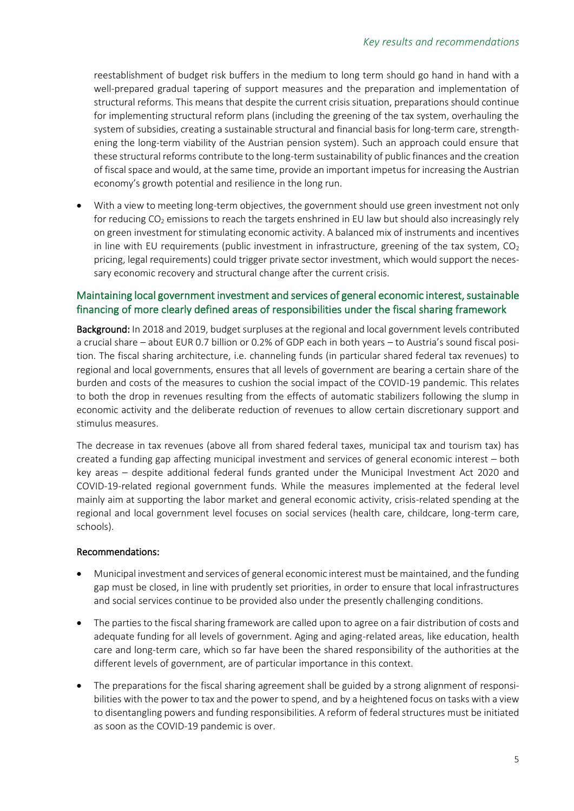reestablishment of budget risk buffers in the medium to long term should go hand in hand with a well-prepared gradual tapering of support measures and the preparation and implementation of structural reforms. This means that despite the current crisis situation, preparations should continue for implementing structural reform plans (including the greening of the tax system, overhauling the system of subsidies, creating a sustainable structural and financial basis for long-term care, strengthening the long-term viability of the Austrian pension system). Such an approach could ensure that these structural reforms contribute to the long-term sustainability of public finances and the creation of fiscal space and would, at the same time, provide an important impetus for increasing the Austrian economy's growth potential and resilience in the long run.

• With a view to meeting long-term objectives, the government should use green investment not only for reducing CO<sub>2</sub> emissions to reach the targets enshrined in EU law but should also increasingly rely on green investment for stimulating economic activity. A balanced mix of instruments and incentives in line with EU requirements (public investment in infrastructure, greening of the tax system,  $CO<sub>2</sub>$ pricing, legal requirements) could trigger private sector investment, which would support the necessary economic recovery and structural change after the current crisis.

### Maintaining local government investment and services of general economic interest, sustainable financing of more clearly defined areas of responsibilities under the fiscal sharing framework

Background: In 2018 and 2019, budget surpluses at the regional and local government levels contributed a crucial share – about EUR 0.7 billion or 0.2% of GDP each in both years – to Austria's sound fiscal position. The fiscal sharing architecture, i.e. channeling funds (in particular shared federal tax revenues) to regional and local governments, ensures that all levels of government are bearing a certain share of the burden and costs of the measures to cushion the social impact of the COVID-19 pandemic. This relates to both the drop in revenues resulting from the effects of automatic stabilizers following the slump in economic activity and the deliberate reduction of revenues to allow certain discretionary support and stimulus measures.

The decrease in tax revenues (above all from shared federal taxes, municipal tax and tourism tax) has created a funding gap affecting municipal investment and services of general economic interest – both key areas – despite additional federal funds granted under the Municipal Investment Act 2020 and COVID-19-related regional government funds. While the measures implemented at the federal level mainly aim at supporting the labor market and general economic activity, crisis-related spending at the regional and local government level focuses on social services (health care, childcare, long-term care, schools).

#### Recommendations:

- Municipal investment and services of general economic interest must be maintained, and the funding gap must be closed, in line with prudently set priorities, in order to ensure that local infrastructures and social services continue to be provided also under the presently challenging conditions.
- The parties to the fiscal sharing framework are called upon to agree on a fair distribution of costs and adequate funding for all levels of government. Aging and aging-related areas, like education, health care and long-term care, which so far have been the shared responsibility of the authorities at the different levels of government, are of particular importance in this context.
- The preparations for the fiscal sharing agreement shall be guided by a strong alignment of responsibilities with the power to tax and the power to spend, and by a heightened focus on tasks with a view to disentangling powers and funding responsibilities. A reform of federal structures must be initiated as soon as the COVID-19 pandemic is over.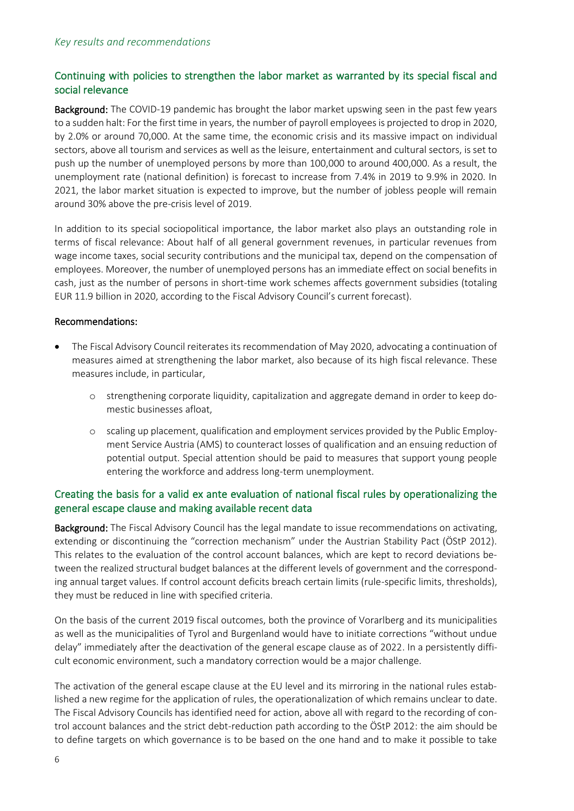# Continuing with policies to strengthen the labor market as warranted by its special fiscal and social relevance

Background: The COVID-19 pandemic has brought the labor market upswing seen in the past few years to a sudden halt: For the first time in years, the number of payroll employees is projected to drop in 2020, by 2.0% or around 70,000. At the same time, the economic crisis and its massive impact on individual sectors, above all tourism and services as well as the leisure, entertainment and cultural sectors, is set to push up the number of unemployed persons by more than 100,000 to around 400,000. As a result, the unemployment rate (national definition) is forecast to increase from 7.4% in 2019 to 9.9% in 2020. In 2021, the labor market situation is expected to improve, but the number of jobless people will remain around 30% above the pre-crisis level of 2019.

In addition to its special sociopolitical importance, the labor market also plays an outstanding role in terms of fiscal relevance: About half of all general government revenues, in particular revenues from wage income taxes, social security contributions and the municipal tax, depend on the compensation of employees. Moreover, the number of unemployed persons has an immediate effect on social benefits in cash, just as the number of persons in short-time work schemes affects government subsidies (totaling EUR 11.9 billion in 2020, according to the Fiscal Advisory Council's current forecast).

#### Recommendations:

- The Fiscal Advisory Council reiterates its recommendation of May 2020, advocating a continuation of measures aimed at strengthening the labor market, also because of its high fiscal relevance. These measures include, in particular,
	- o strengthening corporate liquidity, capitalization and aggregate demand in order to keep domestic businesses afloat,
	- o scaling up placement, qualification and employment services provided by the Public Employment Service Austria (AMS) to counteract losses of qualification and an ensuing reduction of potential output. Special attention should be paid to measures that support young people entering the workforce and address long-term unemployment.

### Creating the basis for a valid ex ante evaluation of national fiscal rules by operationalizing the general escape clause and making available recent data

Background: The Fiscal Advisory Council has the legal mandate to issue recommendations on activating, extending or discontinuing the "correction mechanism" under the Austrian Stability Pact (ÖStP 2012). This relates to the evaluation of the control account balances, which are kept to record deviations between the realized structural budget balances at the different levels of government and the corresponding annual target values. If control account deficits breach certain limits (rule-specific limits, thresholds), they must be reduced in line with specified criteria.

On the basis of the current 2019 fiscal outcomes, both the province of Vorarlberg and its municipalities as well as the municipalities of Tyrol and Burgenland would have to initiate corrections "without undue delay" immediately after the deactivation of the general escape clause as of 2022. In a persistently difficult economic environment, such a mandatory correction would be a major challenge.

The activation of the general escape clause at the EU level and its mirroring in the national rules established a new regime for the application of rules, the operationalization of which remains unclear to date. The Fiscal Advisory Councils has identified need for action, above all with regard to the recording of control account balances and the strict debt-reduction path according to the ÖStP 2012: the aim should be to define targets on which governance is to be based on the one hand and to make it possible to take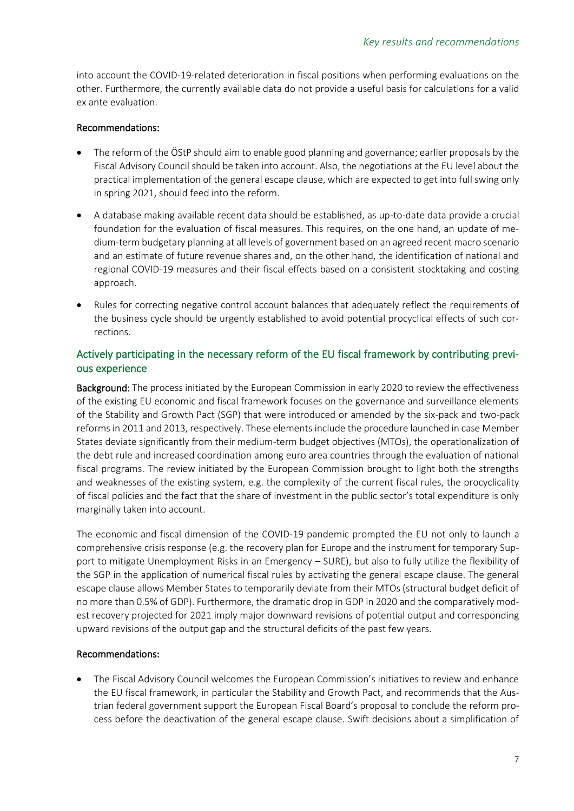into account the COVID-19-related deterioration in fiscal positions when performing evaluations on the other. Furthermore, the currently available data do not provide a useful basis for calculations for a valid ex ante evaluation.

### Recommendations:

- The reform of the ÖStP should aim to enable good planning and governance; earlier proposals by the Fiscal Advisory Council should be taken into account. Also, the negotiations at the EU level about the practical implementation of the general escape clause, which are expected to get into full swing only in spring 2021, should feed into the reform.
- A database making available recent data should be established, as up-to-date data provide a crucial foundation for the evaluation of fiscal measures. This requires, on the one hand, an update of medium-term budgetary planning at all levels of government based on an agreed recent macro scenario and an estimate of future revenue shares and, on the other hand, the identification of national and regional COVID-19 measures and their fiscal effects based on a consistent stocktaking and costing approach.
- Rules for correcting negative control account balances that adequately reflect the requirements of the business cycle should be urgently established to avoid potential procyclical effects of such corrections.

# Actively participating in the necessary reform of the EU fiscal framework by contributing previous experience

Background: The process initiated by the European Commission in early 2020 to review the effectiveness of the existing EU economic and fiscal framework focuses on the governance and surveillance elements of the Stability and Growth Pact (SGP) that were introduced or amended by the six-pack and two-pack reforms in 2011 and 2013, respectively. These elements include the procedure launched in case Member States deviate significantly from their medium-term budget objectives (MTOs), the operationalization of the debt rule and increased coordination among euro area countries through the evaluation of national fiscal programs. The review initiated by the European Commission brought to light both the strengths and weaknesses of the existing system, e.g. the complexity of the current fiscal rules, the procyclicality of fiscal policies and the fact that the share of investment in the public sector's total expenditure is only marginally taken into account.

The economic and fiscal dimension of the COVID-19 pandemic prompted the EU not only to launch a comprehensive crisis response (e.g. the recovery plan for Europe and the instrument for temporary Support to mitigate Unemployment Risks in an Emergency – SURE), but also to fully utilize the flexibility of the SGP in the application of numerical fiscal rules by activating the general escape clause. The general escape clause allows Member States to temporarily deviate from their MTOs (structural budget deficit of no more than 0.5% of GDP). Furthermore, the dramatic drop in GDP in 2020 and the comparatively modest recovery projected for 2021 imply major downward revisions of potential output and corresponding upward revisions of the output gap and the structural deficits of the past few years.

# Recommendations:

• The Fiscal Advisory Council welcomes the European Commission's initiatives to review and enhance the EU fiscal framework, in particular the Stability and Growth Pact, and recommends that the Austrian federal government support the European Fiscal Board's proposal to conclude the reform process before the deactivation of the general escape clause. Swift decisions about a simplification of